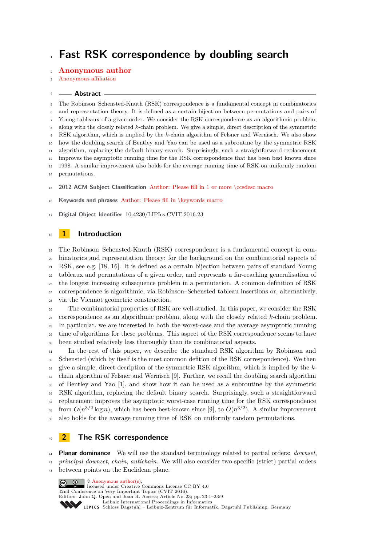# **Fast RSK correspondence by doubling search**

## **Anonymous author**

### Anonymous affiliation

#### **Abstract**

 The Robinson–Schensted-Knuth (RSK) correspondence is a fundamental concept in combinatorics and representation theory. It is defined as a certain bijection between permutations and pairs of Young tableaux of a given order. We consider the RSK correspondence as an algorithmic problem, along with the closely related *k*-chain problem. We give a simple, direct description of the symmetric RSK algorithm, which is implied by the *k*-chain algorithm of Felsner and Wernisch. We also show how the doubling search of Bentley and Yao can be used as a subroutine by the symmetric RSK algorithm, replacing the default binary search. Surprisingly, such a straightforward replacement improves the asymptotic running time for the RSK correspondence that has been best known since 1998. A similar improvement also holds for the average running time of RSK on uniformly random permutations.

**2012 ACM Subject Classification** Author: Please fill in 1 or more \ccsdesc macro

**Keywords and phrases** Author: Please fill in \keywords macro

**Digital Object Identifier** [10.4230/LIPIcs.CVIT.2016.23](https://doi.org/10.4230/LIPIcs.CVIT.2016.23)

# **1 Introduction**

 The Robinson–Schensted-Knuth (RSK) correspondence is a fundamental concept in com- binatorics and representation theory; for the background on the combinatorial aspects of RSK, see e.g. [\[18,](#page-8-0) [16\]](#page-8-1). It is defined as a certain bijection between pairs of standard Young tableaux and permutations of a given order, and represents a far-reaching generalisation of the longest increasing subsequence problem in a permutation. A common definition of RSK correspondence is algorithmic, via Robinson–Schensted tableau insertions or, alternatively, via the Viennot geometric construction.

 The combinatorial properties of RSK are well-studied. In this paper, we consider the RSK correspondence as an algorithmic problem, along with the closely related *k*-chain problem. In particular, we are interested in both the worst-case and the average asymptotic running <sup>29</sup> time of algorithms for these problems. This aspect of the RSK correspondence seems to have been studied relatively less thoroughly than its combinatorial aspects.

 In the rest of this paper, we describe the standard RSK algorithm by Robinson and Schensted (which by itself is the most common defition of the RSK correspondence). We then give a simple, direct decription of the symmetric RSK algorithm, which is implied by the *k*- chain algorithm of Felsner and Wernisch [\[9\]](#page-8-2). Further, we recall the doubling search algorithm of Bentley and Yao [\[1\]](#page-7-0), and show how it can be used as a subroutine by the symmetric RSK algorithm, replacing the default binary search. Surprisingly, such a straightforward replacement improves the asymptotic worst-case running time for the RSK correspondence  $\sigma$  from  $O(n^{3/2} \log n)$ , which has been best-known since [\[9\]](#page-8-2), to  $O(n^{3/2})$ . A similar improvement also holds for the average running time of RSK on uniformly random permutations.

# **2 The RSK correspondence**

**Planar dominance** We will use the standard terminology related to partial orders: *downset*,

 *principal downset*, *chain*, *antichain*. We will also consider two specific (strict) partial orders between points on the Euclidean plane.

 $\circ$  Anonymous author(s)  $\boxed{6}$   $\boxed{0}$ licensed under Creative Commons License CC-BY 4.0 42nd Conference on Very Important Topics (CVIT 2016). Editors: John Q. Open and Joan R. Access; Article No. 23; pp. 23:1–23:9 [Leibniz International Proceedings in Informatics](https://www.dagstuhl.de/lipics/) [Schloss Dagstuhl – Leibniz-Zentrum für Informatik, Dagstuhl Publishing, Germany](https://www.dagstuhl.de)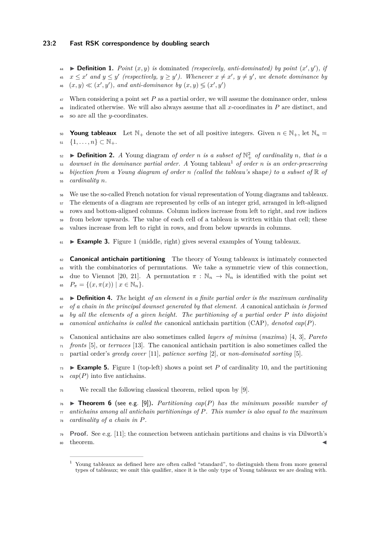## **23:2 Fast RSK correspondence by doubling search**

**Definition 1.** *Point*  $(x, y)$  *is* dominated *(respecively, anti-dominated) by point*  $(x', y')$ *, if*  $x \leq x'$  and  $y \leq y'$  (respectively,  $y \geq y'$ ). Whenever  $x \neq x'$ ,  $y \neq y'$ , we denote dominance by 46  $(x, y) \ll (x', y')$ , and anti-dominance by  $(x, y) \leq (x', y')$ 

<sup>47</sup> When considering a point set *P* as a partial order, we will assume the dominance order, unless <sup>48</sup> indicated otherwise. We will also always assume that all *x*-coordinates in *P* are distinct, and <sup>49</sup> so are all the *y*-coordinates.

50 **Young tableaux** Let  $\mathbb{N}_+$  denote the set of all positive integers. Given  $n \in \mathbb{N}_+$ , let  $\mathbb{N}_n =$ 51  $\{1, \ldots, n\} \subset \mathbb{N}_+$ .

**Definition 2.** *A* Young diagram *of order n is a subset of*  $\mathbb{N}_+^2$  *of cardinality n, that is a*  $\alpha$ <sub>53</sub> *downset in the dominance partial order. A* Young tableau<sup>[1](#page-1-0)</sup> *of order n is an order-preserving* <sup>54</sup> *bijection from a Young diagram of order n (called the tableau's* shape*) to a subset of* R *of* <sup>55</sup> *cardinality n.*

 We use the so-called French notation for visual representation of Young diagrams and tableaux. The elements of a diagram are represented by cells of an integer grid, arranged in left-aligned rows and bottom-aligned columns. Column indices increase from left to right, and row indices from below upwards. The value of each cell of a tableau is written within that cell; these values increase from left to right in rows, and from below upwards in columns.

 $61 \rightarrow$  **Example 3.** Figure [1](#page-5-0) (middle, right) gives several examples of Young tableaux.

 **Canonical antichain partitioning** The theory of Young tableaux is intimately connected with the combinatorics of permutations. We take a symmetric view of this connection, <sup>64</sup> due to Viennot [\[20,](#page-8-3) [21\]](#page-8-4). A permutation  $\pi : \mathbb{N}_n \to \mathbb{N}_n$  is identified with the point set  $P_{\pi} = \{(x, \pi(x)) \mid x \in \mathbb{N}_n\}.$ 

 I **Definition 4.** *The* height *of an element in a finite partial order is the maximum cardinality of a chain in the principal downset generated by that element. A* canonical antichain *is formed by all the elements of a given height. The partitioning of a partial order P into disjoint canonical antichains is called the* canonical antichain partition (CAP)*, denoted cap*(*P*)*.*

<sup>70</sup> Canonical antichains are also sometimes called *layers of minima* (*maxima*) [\[4,](#page-7-1) [3\]](#page-7-2), *Pareto* <sup>71</sup> *fronts* [\[5\]](#page-7-3), or *terraces* [\[13\]](#page-8-5). The canonical antichain partition is also sometimes called the <sup>72</sup> partial order's *greedy cover* [\[11\]](#page-8-6), *patience sorting* [\[2\]](#page-7-4), or *non-dominated sorting* [\[5\]](#page-7-3).

**Example 5.** Figure [1](#page-5-0) (top-left) shows a point set P of cardinality 10, and the partitioning  $a_1$  *cap*(*P*) into five antichains.

<sup>75</sup> We recall the following classical theorem, relied upon by [\[9\]](#page-8-2).

 $76 \rightarrow$  **Theorem 6** (see e.g. [\[9\]](#page-8-2)). Partitioning  $cap(P)$  has the minimum possible number of <sup>77</sup> *antichains among all antichain partitionings of P. This number is also equal to the maximum* <sup>78</sup> *cardinality of a chain in P.*

<sup>79</sup> **Proof.** See e.g. [\[11\]](#page-8-6); the connection between antichain partitions and chains is via Dilworth's  $\bullet$  theorem.

<span id="page-1-0"></span><sup>&</sup>lt;sup>1</sup> Young tableaux as defined here are often called "standard", to distinguish them from more general types of tableaux; we omit this qualifier, since it is the only type of Young tableaux we are dealing with.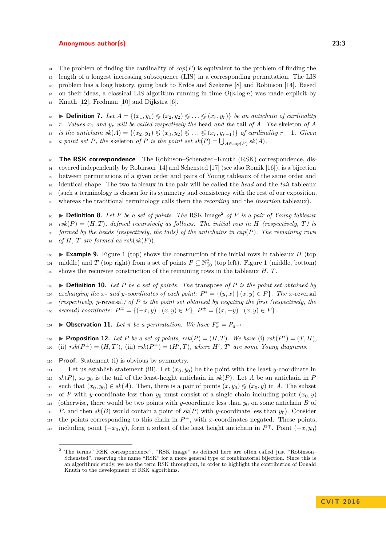$\mathbb{R}$ <sub>81</sub> The problem of finding the cardinality of  $cap(P)$  is equivalent to the problem of finding the <sup>82</sup> length of a longest increasing subsequence (LIS) in a corresponding permutation. The LIS <sup>83</sup> problem has a long history, going back to Erdös and Szekeres [\[8\]](#page-8-7) and Robinson [\[14\]](#page-8-8). Based 84 on their ideas, a classical LIS algorithm running in time  $O(n \log n)$  was made explicit by <sup>85</sup> Knuth [\[12\]](#page-8-9), Fredman [\[10\]](#page-8-10) and Dijkstra [\[6\]](#page-7-5).

86 **Definition 7.** Let  $A = \{(x_1, y_1) \leq (x_2, y_2) \leq \ldots \leq (x_r, y_r)\}$  be an antichain of cardinality  $\mathbf{B}$ <sup>*r*</sup>. Values  $x_1$  and  $y_r$  will be called respectively the head and the tail of A. The skeleton of A  $s_{\mathbb{R}}$  *is the antichain*  $sk(A) = \{(x_2, y_1) \leqslant (x_3, y_2) \leqslant \ldots \leqslant (x_r, y_{r-1})\}$  of cardinality  $r-1$ *. Given a point set P, the* skeleton *of P is the point set*  $sk(P) = \bigcup_{A \in cap(P)} sk(A)$ *.* 

 **The RSK correspondence** The Robinson–Schensted–Knuth (RSK) correspondence, dis- covered independently by Robinson [\[14\]](#page-8-8) and Schensted [\[17\]](#page-8-11) (see also Romik [\[16\]](#page-8-1)), is a bijection between permutations of a given order and pairs of Young tableaux of the same order and identical shape. The two tableaux in the pair will be called the *head* and the *tail* tableaux (such a terminology is chosen for its symmetry and consistency with the rest of our exposition, whereas the traditional terminology calls them the *recording* and the *insertion* tableaux).

<span id="page-2-1"></span>I **Definition 8.** *Let P be a set of points. The* RSK image[2](#page-2-0) <sup>96</sup> *of P is a pair of Young tableaux*  $\mathcal{F}$ <sub>97</sub>  $rsk(P) = (H, T)$ , defined recursively as follows. The initial row in H (respectively, T) is <sup>98</sup> *formed by the heads (respectively, the tails) of the antichains in cap*(*P*)*. The remaining rows* 99 *of*  $H$ *,*  $T$  *are formed as*  $rsk(sk(P))$ *.* 

100 **Example 9.** Figure [1](#page-5-0) (top) shows the construction of the initial rows in tableaux  $H$  (top) <sup>101</sup> middle) and *T* (top right) from a set of points  $P \subseteq \mathbb{N}_{10}^2$  (top left). Figure [1](#page-5-0) (middle, bottom) <sup>102</sup> shows the recursive construction of the remaining rows in the tableaux *H*, *T*.

103 **Definition 10.** Let P be a set of points. The transpose of P is the point set obtained by  $i<sup>104</sup>$  *exchanging the x*- and *y*-coordinates of each point:  $P^* = \{(y, x) | (x, y) \in P\}$ . The *x*-reversal <sup>105</sup> *(respectively, y*-reversal*) of P is the point set obtained by negating the first (respectively, the*  $\{106 \text{ second} \}$  coordinate:  $P^{\mp} = \{(-x, y) \mid (x, y) \in P\}, P^{\pm} = \{(x, -y) \mid (x, y) \in P\}.$ 

**□ Dbservation 11.** *Let*  $π$  *be a permutation. We have*  $P^*_{π} = P_{π^{-1}}$ *.* 

<span id="page-2-2"></span>**■ • Proposition 12.** Let *P* be a set of points,  $rsk(P) = (H, T)$ . We have (i)  $rsk(P<sup>*</sup>) = (T, H)$ ,  $\mathcal{L}^{109}$  (ii)  $rsk(P^{\pm}) = (H, T'),$  (iii)  $rsk(P^{\mp}) = (H', T),$  where  $H', T'$  are some Young diagrams.

<sup>110</sup> **Proof.** Statement (i) is obvious by symmetry.

111 Let us establish statement (iii). Let  $(x_0, y_0)$  be the point with the least *y*-coordinate in  $s_k(P)$ , so  $y_0$  is the tail of the least-height antichain in  $sk(P)$ . Let A be an antichain in P 113 such that  $(x_0, y_0) \in sk(A)$ . Then, there is a pair of points  $(x, y_0) \leq (x_0, y)$  in *A*. The subset <sup>114</sup> of *P* with *y*-coordinate less than  $y_0$  must consist of a single chain including point  $(x_0, y)$ 115 (otherwise, there would be two points with *y*-coordinate less than  $y_0$  on some antichain *B* of 116 *P*, and then  $sk(B)$  would contain a point of  $sk(P)$  with *y*-coordinate less than  $y_0$ ). Consider <sup>117</sup> the points corresponding to this chain in  $P^{\mp}$ , with *x*-coordinates negated. These points, <sup>118</sup> including point  $(-x_0, y)$ , form a subset of the least height antichain in  $P^{\mp}$ . Point  $(-x, y_0)$ 

<span id="page-2-0"></span><sup>2</sup> The terms "RSK correspondence", "RSK image" as defined here are often called just "Robinson– Schensted", reserving the name "RSK" for a more general type of combinatorial bijection. Since this is an algorithmic study, we use the term RSK throughout, in order to highlight the contribution of Donald Knuth to the development of RSK algorithms.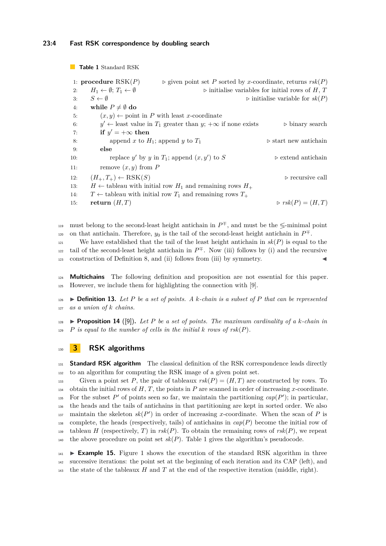<span id="page-3-0"></span>**Table 1** Standard RSK

```
1: procedure RSK(P) \triangleright given point set P sorted by x-coordinate, returns rsk(P)2: H_1 \leftarrow \emptyset; T_1 \leftarrow \emptyset \triangleright initialise variables for initial rows of H, T
3: S \leftarrow \emptyset \triangleright initialise variable for sk(P)4: while P \neq \emptyset do
5: (x, y) \leftarrow point in P with least x-coordinate
 6: y' \leftarrow least value in T_1 greater than y; +\infty if none exists \longrightarrow binary search
 7: if y' = +\infty then
8: append x to H_1; append y to T_1 \triangleright start new antichain
9: else
10: replace y' by y in T_1; append (x, y')\triangleright extend antichain
11: remove (x, y) from P
12: (H_+, T_+) \leftarrow \text{RSK}(S) \triangleright recursive call
13: H ← tableau with initial row H_1 and remaining rows H_+14: T \leftarrow tableau with initial row T_1 and remaining rows T_+15: return (H, T) \triangleright rsk(P) = (H, T)
```
must belong to the second-least height antichain in  $P^{\pm}$ , and must be the  $\leq$ -minimal point on that antichain. Therefore,  $y_0$  is the tail of the second-least height antichain in  $P^{\mp}$ .

121 We have established that the tail of the least height antichain in  $sk(P)$  is equal to the tail of the second-least height antichain in  $P^{\pm}$ . Now (iii) follows by (i) and the recursive  $123$  construction of Definition [8,](#page-2-1) and (ii) follows from (iii) by symmetry.

<sup>124</sup> **Multichains** The following definition and proposition are not essential for this paper. <sup>125</sup> However, we include them for highlighting the connection with [\[9\]](#page-8-2).

126 **Definition 13.** Let P be a set of points. A k-chain is a subset of P that can be represented <sup>127</sup> *as a union of k chains.*

**128 Proposition 14** ([\[9\]](#page-8-2)). Let P be a set of points. The maximum cardinality of a *k*-chain in  $P$  *is equal to the number of cells in the initial k rows of*  $rsk(P)$ *.* 

## <sup>130</sup> **3 RSK algorithms**

<sup>131</sup> **Standard RSK algorithm** The classical definition of the RSK correspondence leads directly <sup>132</sup> to an algorithm for computing the RSK image of a given point set.

Given a point set P, the pair of tableaux  $rsk(P) = (H, T)$  are constructed by rows. To 134 obtain the initial rows of  $H, T$ , the points in  $P$  are scanned in order of increasing *x*-coordinate. For the subset  $P'$  of points seen so far, we maintain the partitioning  $cap(P')$ ; in particular, <sup>136</sup> the heads and the tails of antichains in that partitioning are kept in sorted order. We also  $\mu_{137}$  maintain the skeleton  $sk(P')$  in order of increasing *x*-coordinate. When the scan of *P* is 138 complete, the heads (respectively, tails) of antichains in  $cap(P)$  become the initial row of 139 tableau *H* (respectively, *T*) in *rsk*(*P*). To obtain the remaining rows of  $rsk(P)$ , we repeat 140 the above procedure on point set  $sk(P)$ . Table [1](#page-3-0) gives the algorithm's pseudocode.

 $_{141}$  **Example [1](#page-5-0)5.** Figure 1 shows the execution of the standard RSK algorithm in three <sup>142</sup> successive iterations: the point set at the beginning of each iteration and its CAP (left), and 143 the state of the tableaux  $H$  and  $T$  at the end of the respective iteration (middle, right).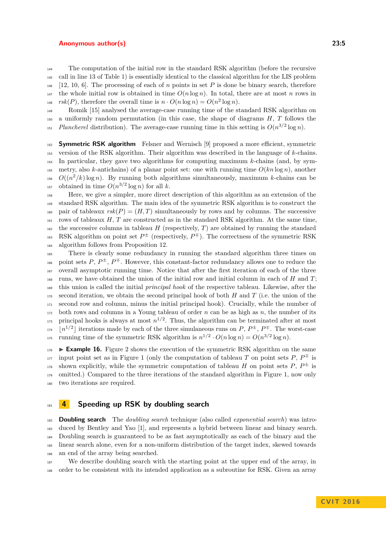<sup>144</sup> The computation of the initial row in the standard RSK algorithm (before the recursive <sup>145</sup> call in line 13 of Table [1\)](#page-3-0) is essentially identical to the classical algorithm for the LIS problem  $146$  [\[12,](#page-8-9) [10,](#page-8-10) [6\]](#page-7-5). The processing of each of *n* points in set *P* is done be binary search, therefore <sup>147</sup> the whole initial row is obtained in time  $O(n \log n)$ . In total, there are at most *n* rows in  $rsk(P)$ , therefore the overall time is  $n \cdot O(n \log n) = O(n^2 \log n)$ .

<sup>149</sup> Romik [\[15\]](#page-8-12) analysed the average-case running time of the standard RSK algorithm on <sup>150</sup> a uniformly random permutation (in this case, the shape of diagrams *H*, *T* follows the *Plancherel* distribution). The average-case running time in this setting is  $O(n^{3/2} \log n)$ .

<sup>152</sup> **Symmetric RSK algorithm** Felsner and Wernisch [\[9\]](#page-8-2) proposed a more efficient, symmetric <sup>153</sup> version of the RSK algorithm. Their algorithm was described in the language of *k*-chains. <sup>154</sup> In particular, they gave two algorithms for computing maximum *k*-chains (and, by sym-155 metry, also *k*-antichains) of a planar point set: one with running time  $O(kn \log n)$ , another <sup>156</sup> *O*( $(n^2/k)$ log *n*). By running both algorithms simultaneously, maximum *k*-chains can be <sup>157</sup> obtained in time  $O(n^{3/2} \log n)$  for all *k*.

<sup>158</sup> Here, we give a simpler, more direct description of this algorithm as an extension of the <sup>159</sup> standard RSK algorithm. The main idea of the symmetric RSK algorithm is to construct the 160 pair of tableaux  $rsk(P) = (H, T)$  simultaneously by rows and by columns. The successive  $_{161}$  rows of tableaux *H*, *T* are constructed as in the standard RSK algorithm. At the same time,  $162$  the successive columns in tableau *H* (respectively, *T*) are obtained by running the standard <sup>163</sup> RSK algorithm on point set  $P^{\pm}$  (respectively,  $P^{\mp}$ ). The correctness of the symmetric RSK <sup>164</sup> algorithm follows from Proposition [12.](#page-2-2)

 There is clearly some redundancy in running the standard algorithm three times on <sup>166</sup> point sets  $P, P^{\pm}, P^{\mp}$ . However, this constant-factor redundancy allows one to reduce the overall asymptotic running time. Notice that after the first iteration of each of the three runs, we have obtained the union of the initial row and initial column in each of *H* and *T*; this union is called the initial *principal hook* of the respective tableau. Likewise, after the second iteration, we obtain the second principal hook of both *H* and *T* (i.e. the union of the second row and column, minus the initial principal hook). Crucially, while the number of both rows and columns in a Young tableau of order *n* can be as high as *n*, the number of its <sup>173</sup> principal hooks is always at most  $n^{1/2}$ . Thus, the algorithm can be terminated after at most  $\vert n^{1/2} \vert$  iterations made by each of the three simulaneous runs on *P*,  $P^{\pm}$ ,  $P^{\mp}$ . The worst-case <sup>175</sup> running time of the symmetric RSK algorithm is  $n^{1/2} \cdot O(n \log n) = O(n^{3/2} \log n)$ .

 $_{176}$  **Example 16.** Figure [2](#page-5-1) shows the execution of the symmetric RSK algorithm on the same input point set as in Figure [1](#page-5-0) (only the computation of tableau *T* on point sets  $P, P^{\pm}$  is <sup>178</sup> shown explicitly, while the symmetric computation of tableau *H* on point sets *P*,  $P^{\pm}$  is 179 omitted.) Compared to the three iterations of the standard algorithm in Figure [1,](#page-5-0) now only <sup>180</sup> two iterations are required.

## <sup>181</sup> **4 Speeding up RSK by doubling search**

 **Doubling search** The *doubling search* technique (also called *exponential search*) was intro- duced by Bentley and Yao [\[1\]](#page-7-0), and represents a hybrid between linear and binary search. Doubling search is guaranteed to be as fast asymptotically as each of the binary and the linear search alone, even for a non-uniform distribution of the target index, skewed towards an end of the array being searched.

<sup>187</sup> We describe doubling search with the starting point at the upper end of the array, in <sup>188</sup> order to be consistent with its intended application as a subroutine for RSK. Given an array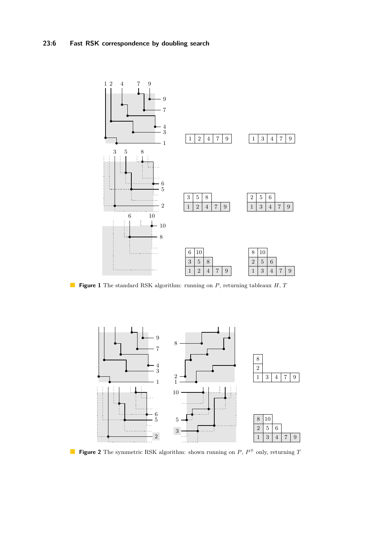<span id="page-5-0"></span>

**Figure 1** The standard RSK algorithm: running on *P*, returning tableaux *H*, *T*

<span id="page-5-1"></span>

**Figure 2** The symmetric RSK algorithm: shown running on  $P$ ,  $P^{\mp}$  only, returning *T*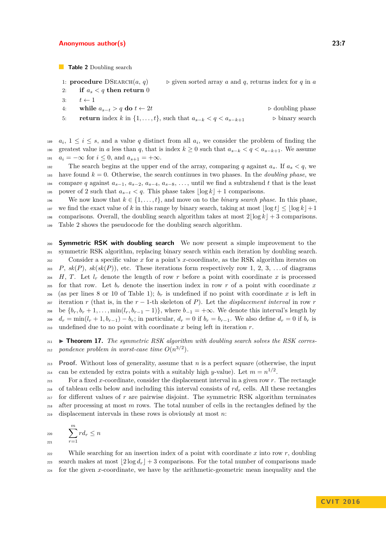<span id="page-6-0"></span>**Table 2** Doubling search

- 1: **procedure** DSEARCH $(a, q)$   $\rightarrow$  given sorted array *a* and *q*, returns index for *q* in *a*
- 2: **if**  $a_s < q$  then return 0
- 3:  $t \leftarrow 1$
- 4: **while**  $a_{s-t} > q$  **do**  $t \leftarrow 2t$  ...  $\triangleright$  doubling phase 5: **return** index *k* in  $\{1, \ldots, t\}$ , such that  $a_{s-k} < q < a_{s-k+1}$   $\triangleright$  binary search

 $a_i, 1 \leq i \leq s$ , and a value *q* distinct from all  $a_i$ , we consider the problem of finding the 190 greatest value in *a* less than *q*, that is index  $k \geq 0$  such that  $a_{s-k} < q < a_{s-k+1}$ . We assume 191  $a_i = -\infty$  for  $i \leq 0$ , and  $a_{s+1} = +\infty$ .

192 The search begins at the upper end of the array, comparing q against  $a_s$ . If  $a_s < q$ , we <sup>193</sup> have found  $k = 0$ . Otherwise, the search continues in two phases. In the *doubling phase*, we 194 compare *q* against  $a_{s-1}$ ,  $a_{s-2}$ ,  $a_{s-4}$ ,  $a_{s-8}$ , ..., until we find a subtrahend *t* that is the least 195 power of 2 such that  $a_{s-t} < q$ . This phase takes  $|\log k| + 1$  comparisons.

196 We now know that  $k \in \{1, \ldots, t\}$ , and move on to the *binary search phase*. In this phase, 197 we find the exact value of k in this range by binary search, taking at most  $|\log t| \leq |\log k| + 1$ 198 comparisons. Overall, the doubling search algorithm takes at most  $2|\log k| + 3$  comparisons. <sup>199</sup> Table [2](#page-6-0) shows the pseudocode for the doubling search algorithm.

<sup>200</sup> **Symmetric RSK with doubling search** We now present a simple improvement to the <sup>201</sup> symmetric RSK algorithm, replacing binary search within each iteration by doubling search. <sup>202</sup> Consider a specific value *x* for a point's *x*-coordinate, as the RSK algorithm iterates on 203 *P*,  $sk(P)$ ,  $sk(sk(P))$ , etc. These iterations form respectively row 1, 2, 3, ... of diagrams <sup>204</sup> *H*, *T*. Let  $l_r$  denote the length of row *r* before a point with coordinate *x* is processed <sup>205</sup> for that row. Let  $b_r$  denote the insertion index in row r of a point with coordinate x 206 (as per lines 8 or 10 of Table [1\)](#page-3-0);  $b_r$  is undefined if no point with coordinate x is left in 207 iteration *r* (that is, in the  $r-1$ -th skeleton of *P*). Let the *displacement interval* in row *r* 208 be  ${b_r, b_r + 1, \ldots, \min(l_r, b_{r-1} - 1)}$ , where  $b_{-1} = +\infty$ . We denote this interval's length by  $v_{1}$   $d_r = \min(l_r + 1, b_{r-1}) - b_r$ ; in particular,  $d_r = 0$  if  $b_r = b_{r-1}$ . We also define  $d_r = 0$  if  $b_r$  is <sup>210</sup> undefined due to no point with coordinate *x* being left in iteration *r*.

<span id="page-6-1"></span><sup>211</sup>  $\blacktriangleright$  **Theorem 17.** *The symmetric RSK algorithm with doubling search solves the RSK corres-* $_{212}$  pondence problem in worst-case time  $O(n^{3/2})$ .

<sup>213</sup> **Proof.** Without loss of generality, assume that *n* is a perfect square (otherwise, the input can be extended by extra points with a suitably high *y*-value). Let  $m = n^{1/2}$ .

 For a fixed *x*-coordinate, consider the displacement interval in a given row *r*. The rectangle 216 of tableau cells below and including this interval consists of  $r d_r$  cells. All these rectangles for different values of *r* are pairwise disjoint. The symmetric RSK algorithm terminates after processing at most *m* rows. The total number of cells in the rectangles defined by the displacement intervals in these rows is obviously at most *n*:

$$
\sum_{221}^{220} r d_r \leq n
$$

222 While searching for an insertion index of a point with coordinate x into row r, doubling 223 search makes at most  $\left|2\log d_r\right| + 3$  comparisons. For the total number of comparisons made <sup>224</sup> for the given *x*-coordinate, we have by the arithmetic-geometric mean inequality and the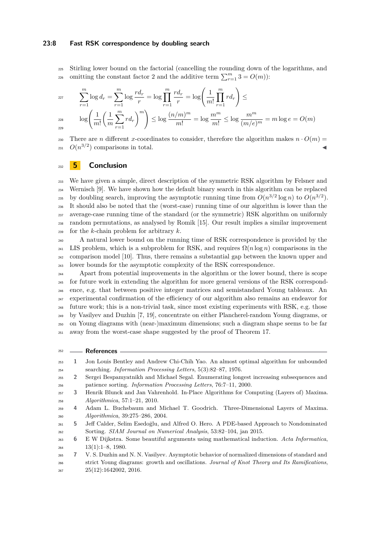### **23:8 Fast RSK correspondence by doubling search**

<sup>225</sup> Stirling lower bound on the factorial (cancelling the rounding down of the logarithms, and comitting the constant factor 2 and the additive term  $\sum_{r=1}^{m} 3 = O(m)$ :

$$
\sum_{r=1}^{m} \log d_r = \sum_{r=1}^{m} \log \frac{r d_r}{r} = \log \prod_{r=1}^{m} \frac{r d_r}{r} = \log \left( \frac{1}{m!} \prod_{r=1}^{m} r d_r \right) \le
$$
  

$$
\log \left( \frac{1}{m!} \left( \frac{1}{m} \sum_{r=1}^{m} r d_r \right)^m \right) \le \log \frac{(n/m)^m}{m!} = \log \frac{m^m}{m!} \le \log \frac{m^m}{(m/e)^m} = m \log e = O(m)
$$

229

230 There are *n* different *x*-coordinates to consider, therefore the algorithm makes  $n \cdot O(m)$  $O(n^{3/2})$  comparisons in total.

## <sup>232</sup> **5 Conclusion**

 We have given a simple, direct description of the symmetric RSK algorithm by Felsner and Wernisch [\[9\]](#page-8-2). We have shown how the default binary search in this algorithm can be replaced by doubling search, improving the asymptotic running time from  $O(n^{3/2} \log n)$  to  $O(n^{3/2})$ . It should also be noted that the (worst-case) running time of our algorithm is lower than the average-case running time of the standard (or the symmetric) RSK algorithm on uniformly random permutations, as analysed by Romik [\[15\]](#page-8-12). Our result implies a similar improvement for the *k*-chain problem for arbitrary *k*.

<sup>240</sup> A natural lower bound on the running time of RSK correspondence is provided by the <sup>241</sup> LIS problem, which is a subproblem for RSK, and requires  $\Omega(n \log n)$  comparisons in the <sup>242</sup> comparison model [\[10\]](#page-8-10). Thus, there remains a substantial gap between the known upper and <sup>243</sup> lower bounds for the asymptotic complexity of the RSK correspondence.

 Apart from potential improvements in the algorithm or the lower bound, there is scope for future work in extending the algorithm for more general versions of the RSK correspond- ence, e.g. that between positive integer matrices and semistandard Young tableaux. An experimental confirmation of the efficiency of our algorithm also remains an endeavor for future work; this is a non-trivial task, since most existing experiments with RSK, e.g. those by Vasilyev and Duzhin [\[7,](#page-7-6) [19\]](#page-8-13), concentrate on either Plancherel-random Young diagrams, or on Young diagrams with (near-)maximum dimensions; such a diagram shape seems to be far away from the worst-case shape suggested by the proof of Theorem [17.](#page-6-1)

#### <sup>252</sup> **References**

<span id="page-7-0"></span><sup>253</sup> **1** Jon Louis Bentley and Andrew Chi-Chih Yao. An almost optimal algorithm for unbounded <sup>254</sup> searching. *Information Processing Letters*, 5(3):82–87, 1976. <sup>255</sup> **2** Sergei Bespamyatnikh and Michael Segal. Enumerating longest increasing subsequences and

<span id="page-7-4"></span><sup>256</sup> patience sorting. *Information Processing Letters*, 76:7–11, 2000.

<span id="page-7-2"></span><sup>257</sup> **3** Henrik Blunck and Jan Vahrenhold. In-Place Algorithms for Computing (Layers of) Maxima. <sup>258</sup> *Algorithmica*, 57:1–21, 2010.

<span id="page-7-1"></span><sup>259</sup> **4** Adam L. Buchsbaum and Michael T. Goodrich. Three-Dimensional Layers of Maxima. <sup>260</sup> *Algorithmica*, 39:275–286, 2004.

<span id="page-7-3"></span><sup>&</sup>lt;sup>261</sup> **5** Jeff Calder, Selim Esedoglu, and Alfred O. Hero. A PDE-based Approach to Nondominated <sup>262</sup> Sorting. *SIAM Journal on Numerical Analysis*, 53:82–104, jan 2015.

<span id="page-7-5"></span><sup>263</sup> **6** E W Dijkstra. Some beautiful arguments using mathematical induction. *Acta Informatica*,  $13(1):1-8$ , 1980.

<span id="page-7-6"></span><sup>265</sup> **7** V. S. Duzhin and N. N. Vasilyev. Asymptotic behavior of normalized dimensions of standard and <sup>266</sup> strict Young diagrams: growth and oscillations. *Journal of Knot Theory and Its Ramifications*,  $25(12):1642002, 2016.$